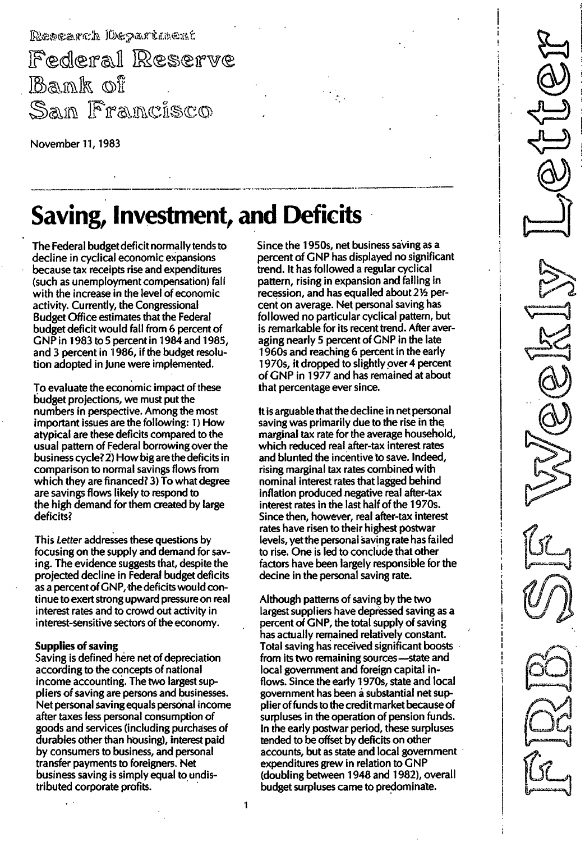Rescarch Department Federal Reserve Bank of San Francisco

November 11, 1983

# Saving, Investment, and Deficits

The Federal budget deficit normally tends to decline in cyclical economic expansions because tax receipts rise and expenditures (such as unemployment compensation) fall with the increase in the level of economic activity. Currently, the Congressional Budget Office estimates that the Federal budget deficit would fall from 6 percent of GNP in 1983 to 5 percent in 1984 and 1985, and 3 percent in 1986, if the budget resolution adopted in June were implemented.

To evaluate the economic impact of these budget projections, we must put the numbers in perspective. Among the most important issues are the following: 1) How atypical are these deficits compared to the usual pattern of Federal borrowing over the business cycle? 2) How big are the deficits in comparison to normal savings flows from which they are financed? 3) To what degree are savings flows likely to respond to the high demand for them created by large deficits?

This Letter addresses these questions by focusing on the supply and demand for saving. The evidence suggests that, despite the projected decline in Federal budget deficits as a percent of GNP, the deficits would continue to exert strong upward pressure on real interest rates and to crowd out activity in interest-sensitive sectors of the economy.

### Supplies of saving

Saving is defined here net of depreciation according to the concepts of national income accounting. The two largest suppliers of saving are persons and businesses. Net personal saving equals personal income after taxes less personal consumption of goods and services (including purchases of durables other than housing), interest paid by consumers to business, and personal transfer payments to foreigners. Net business saving is simply equal to undistributed corporate profits.

Since the 19505, net business saving as a percent of GNP has displayed no significant trend. It has followed a regular cyclical pattern, rising in expansion and falling in recession, and has equalled about 21/2 percent on average. Net personal saving has followed no particular cyclical pattern, but is remarkable for its recent trend. After averaging nearly 5 percent of GNP in the late 1960s and reaching 6 percent in the early 1970s, it dropped to slightly over 4 percent of GNP in 1977 and has remained at about that percentage ever since.

It is arguable that thedecline in net personal saving was primarily due to the rise in the marginal tax rate for the average household, which reduced real after-tax interest rates and blunted the incentive to save. Indeed, rising marginal tax rates combined with nominal interest rates that lagged behind inflation produced negative real after-tax interest rates in the last half of the 1970s. Since then, however, real after-tax interest rates have risen to their highest postwar levels, yetthe personal saving rate has failed to rise. One is led to conclude that other factors have been largely responsible for the decine in the personal saving rate.

Although patterns of saving by the two largest suppliers have depressed saving as a percent of GNP, the total supply of saving has actually remained relatively constant. Total saving has received significant boosts from its two remaining sources-state and local government and foreign capital inflows. Since the early 1970s, state and local government has been a substantial net supplierof funds to the credit market because of surpluses in the operation of pension funds. In the early postwar period, these surpluses tended to be offset by deficits on other accounts, but as state and local government expenditures grew in relation to  $GNP$ (doubling between 1 948 and 1982), overall budget surpluses came to predominate.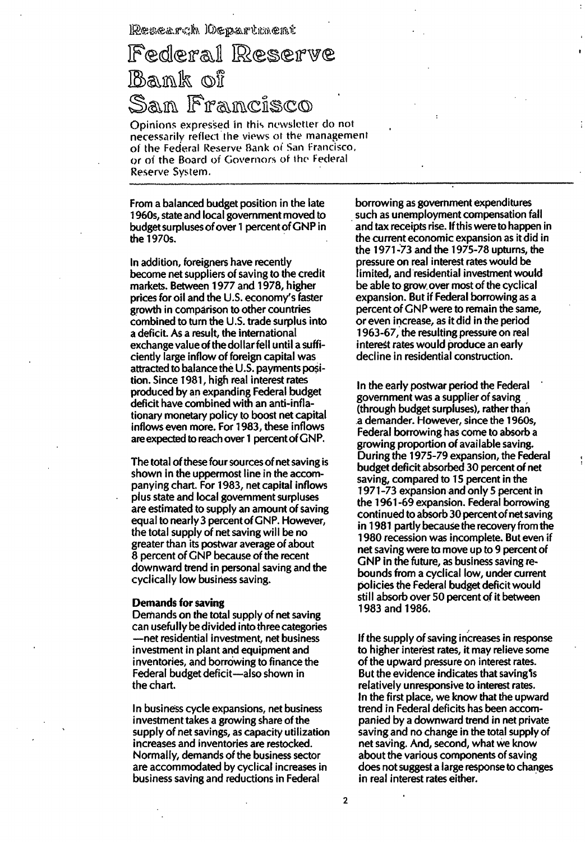### Research Oepartment

## Federal Reserve Bank of San Francisco

Opinions expressed in this newsletter do not necessarily reflect the views of the management of the Federal Reserve Bank of San Francisco, or of the Board of Governors of the Federal Reserve System.

From a balanced budget position in the late 1 960s, state and local government moved to budget surpluses of over 1 percent of GNP in the 1970s.

In addition, foreigners have recently become net suppliers of saving to the credit markets. Between 1 977 and 1 978, higher prices for oil and the U.S. economy's faster growth in comparison to other countries combined to turn the U.S. trade surplus into a deficit. As a result, the international exchange valueof the dollar fell until a sufficiently large inflow of foreign capital was attracted to balance the U.S. payments position. Since 1 981 , high real interest rates produced by an expanding Federal budget deficit have combined with an anti-inflationary monetary policy to boost net capital inflows even more. For 1 983, these inflows are expected to reach over 1 percent of GNP.

The total of these four sources of net saving is shown in the uppermost line in the accompanying chart. For 1 983, net capital inflows plus state and local government surpluses are estimated to supply an amount of saving equal to nearly 3 percent of GNP. However, the total supply of net saving will be no greater than its postwar average of about 8 percent of GNP because of the recent downward trend in personal saving and the cyclically low business saving.

### Demands for saving

Demands on the total supply of net saving can usefully be divided into three categories -net residential investment, net business investment in plant and equipment and inventories, and borrowing to finance the Federal budget deficit-also shown in the chart.

In business cycle expansions, net business investment takes a growing share of the supply of net savings, as capacity utilization increases and inventories are restocked. Normally, demands of the business sector are accommodated by cyclical increases in business saving and reductions in Federal

borrowing as government expenditures such as unemployment compensation fall and tax receipts rise. If this were to happen in the current economic expansion as it did in the 1 971 -73 and the 1 975-78 upturns, the pressure on real interest rateswould be limited, and residential investment would be able to grow over most of the cyclical expansion. But if Federal borrowing as a percent of GNP were to remain the same, or even increase, as it did in the period 1 963-67, the resulting pressure on real interest rates would produce an early decline in residential construction.

In the early postwar period the Federal government was a supplier of saving (through budget surpluses), rather than a demander. However, since the 1 960s, Federal borrowing has come to absorb a growing proportion of available saving. During the 1975-79 expansion, the Federal budget deficit absorbed 30 percent of net saving, compared to 15 percent in the 1 971 -73 expansion and only 5 percent in the 1 961 -69 expansion. Federal borrowing continued to absorb 30 percent of net saving in 1981 partly because the recovery from the 1 980 recession was incomplete. But even if net saving were to move up to 9 percent of GNP in the future, as business saving rebounds from a cyclical low, under current policies the Federal budget deficit would still absorb over 50 percent of it between 1983 and 1986.

If the supply of saving increases in response to higher interest rates, it may relieve some of the upward pressure on interest rates. But the evidence indicates that saving is relatively unresponsive to interest rates. In the first place, we know that the upward trend in Federal deficits has been accompanied by a downward trend in net private saving and no change in the total supply of net saving. And, second, what we know about the various components of saving does not suggest a large response to changes in real interest rates either.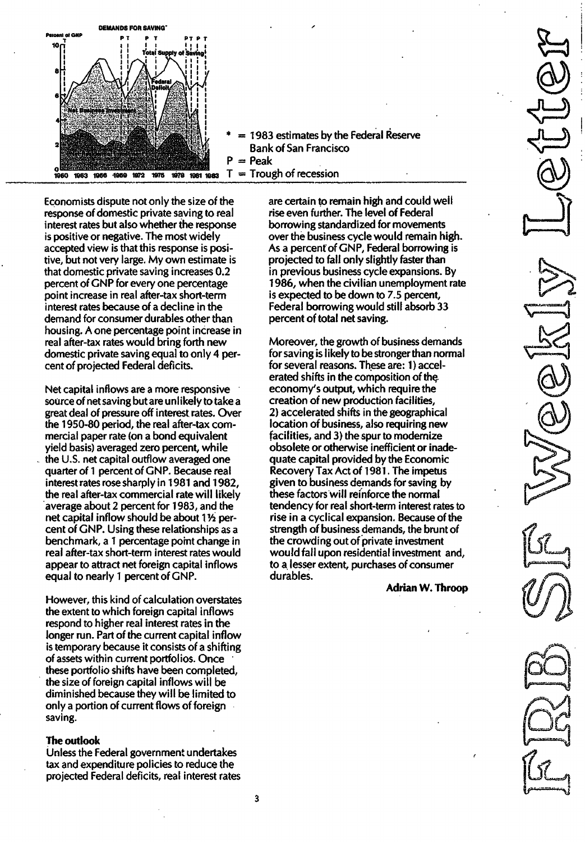

 $= 1983$  estimates by the Federal Reserve Bank of San Francisco  $P = P$ eak

Economists dispute not only the size of the response of domestic private saving to real interest rates but also whether the response is positive or negative. The most widely accepted view is that this response is positive, but not very large. My own estimate is that domestic private saving increases 0.2 percent of GNP for every one percentage point increase in real after-tax short-term interest rates because of a decline in the demand for consumer durables other than housing. A one percentage point increase in real after-tax rates would bring forth new domestic private saving equal to only 4 percent of projected Federal deficits.

Net capital inflows are a more responsive source of net saving but are unlikely to take a great deal of pressure off interest rates. Over the 1950-80 period, the real after-tax commercial paper rate (on a bond equivalent yield basis) averaged zero percent, while the U.S. net capital outflow averaged one quarter of 1 percent of GNP. Because real interest rates rose sharply in 1981 and 1982. the real after-tax commercial rate will likely average about 2 percent for 1983, and the net capital inflow should be about  $1\frac{1}{2}$  percent of GNP. Using these relationships as a benchmark, a 1 percentage point change in real after-tax short-term interest rates would appear to attract net foreign capital inflows equal to nearly 1 percent of GNP.

However, this kind of calculation overstates the extent to which foreign capital inflows respond to higher real interest rates in the longer run. Part of the current capital inflow is temporary because it consists of a shifting of assets within current portfolios. Once these portfolio shifts have been completed, the size of foreign capital inflows will be diminished because they will be limited to only a portion of current flows of foreign saving.

#### The outlook

Unless the Federal government undertakes tax and expenditure policies to reduce the projected Federal deficits, real interest rates are certain to remain high and could well rise even further. The level of Federal borrowing standardized for movements over the business cycle would remain high. As a percent of GNP, Federal borrowing is projected to fall only slightly faster than in previous business cycle expansions. By 1 986, when the civilian unemployment rate is expected to be down to 7.5 percent, Federal borrowing would still absorb 33 percent of total net saving.

Moreover, the growth of business demands for saving is likely to be stronger than normal for several reasons. These are: 1 ) accelerated shifts in the composition of the economy's output, which require the creation of new production facilities, 2) accelerated shifts in the geographical location of business, also requiring new facilities, and 3) the spur to modernize obsolete or otherwise inefficient or inadequate capital provided by the Economic Recovery Tax Act of 1981 . The impetus given to business demands for saving by these factors will reinforce the normal tendency for real short-term interest rates to rise in a cyclical expansion. Because of the strength of business demands, the brunt of the crowding out of private investment would fall upon residential investment and, to a lesser extent, purchases of consumer durables.

Adrian W. Throop